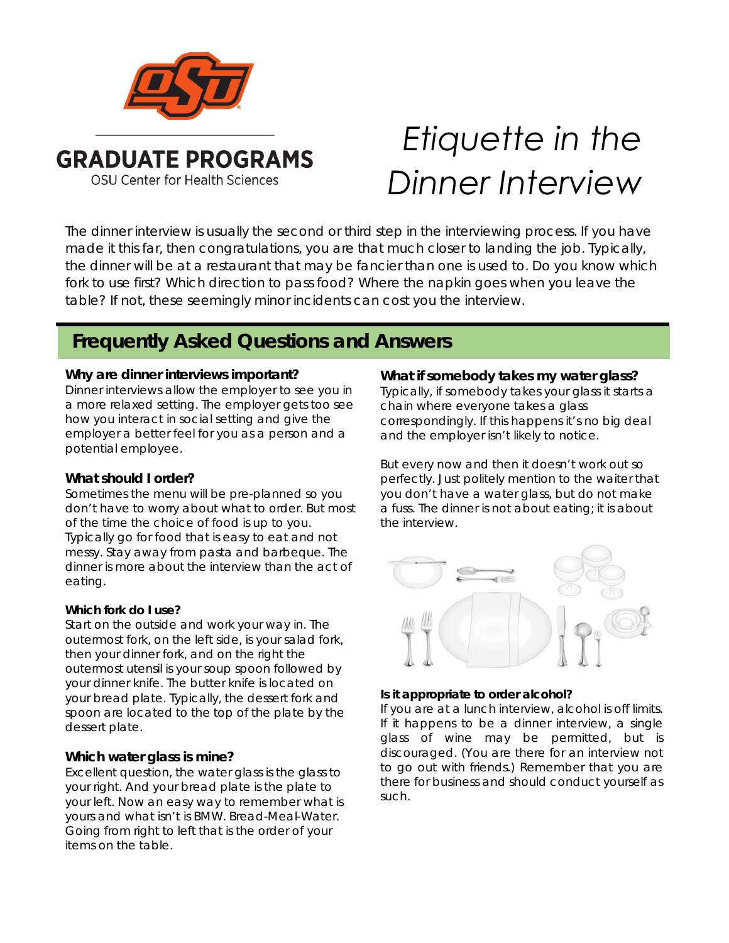

# *Etiquette in the Dinner Interview*

The dinner interview is usually the second or third step in the interviewing process. If you have made it this far, then congratulations, you are that much closer to landing the job. Typically, the dinner will be at a restaurant that may be fancier than one is used to. Do you know which fork to use first? Which direction to pass food? Where the napkin goes when you leave the table? If not, these seemingly minor incidents can cost you the interview.

# **Frequently Asked Questions and Answers**

# **Why are dinner interviews important?**

Dinner interviews allow the employer to see you in a more relaxed setting. The employer gets too see how you interact in social setting and give the employer a better feel for you as a person and a potential employee.

# **What should I order?**

Sometimes the menu will be pre-planned so you don't have to worry about what to order. But most of the time the choice of food is up to you. Typically go for food that is easy to eat and not messy. Stay away from pasta and barbeque. The dinner is more about the interview than the act of eating.

# **Which fork do I use?**

Start on the outside and work your way in. The outermost fork, on the left side, is your salad fork, then your dinner fork, and on the right the outermost utensil is your soup spoon followed by your dinner knife. The butter knife is located on your bread plate. Typically, the dessert fork and spoon are located to the top of the plate by the dessert plate.

# **Which water glass is mine?**

Excellent question, the water glass is the glass to your right. And your bread plate is the plate to your left. Now an easy way to remember what is yours and what isn't is BMW. Bread-Meal-Water. Going from right to left that is the order of your items on the table.

# **What if somebody takes my water glass?**

Typically, if somebody takes your glass it starts a chain where everyone takes a glass correspondingly. If this happens it's no big deal and the employer isn't likely to notice.

But every now and then it doesn't work out so perfectly. Just politely mention to the waiter that you don't have a water glass, but do not make a fuss. The dinner is not about eating; it is about the interview.



# **Is it appropriate to order alcohol?**

If you are at a lunch interview, alcohol is off limits. If it happens to be a dinner interview, a single glass of wine may be permitted, but is discouraged. (You are there for an interview not to go out with friends.) Remember that you are there for business and should conduct yourself as such.